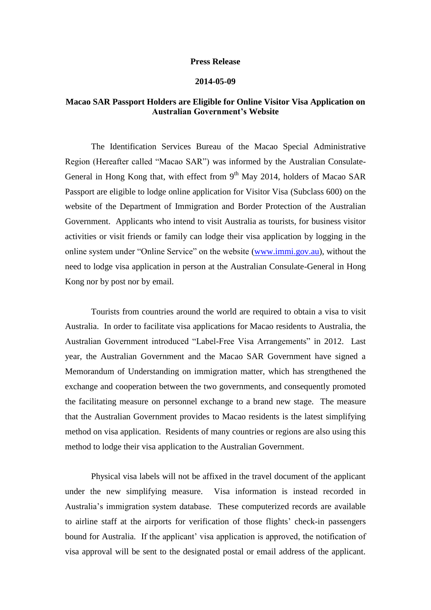## **Press Release**

## **2014-05-09**

## **Macao SAR Passport Holders are Eligible for Online Visitor Visa Application on Australian Government's Website**

The Identification Services Bureau of the Macao Special Administrative Region (Hereafter called "Macao SAR") was informed by the Australian Consulate-General in Hong Kong that, with effect from  $9<sup>th</sup>$  May 2014, holders of Macao SAR Passport are eligible to lodge online application for Visitor Visa (Subclass 600) on the website of the Department of Immigration and Border Protection of the Australian Government. Applicants who intend to visit Australia as tourists, for business visitor activities or visit friends or family can lodge their visa application by logging in the online system under "Online Service" on the website [\(www.immi.gov.au\)](http://www.immi.gov.au/), without the need to lodge visa application in person at the Australian Consulate-General in Hong Kong nor by post nor by email.

Tourists from countries around the world are required to obtain a visa to visit Australia. In order to facilitate visa applications for Macao residents to Australia, the Australian Government introduced "Label-Free Visa Arrangements" in 2012. Last year, the Australian Government and the Macao SAR Government have signed a Memorandum of Understanding on immigration matter, which has strengthened the exchange and cooperation between the two governments, and consequently promoted the facilitating measure on personnel exchange to a brand new stage. The measure that the Australian Government provides to Macao residents is the latest simplifying method on visa application. Residents of many countries or regions are also using this method to lodge their visa application to the Australian Government.

Physical visa labels will not be affixed in the travel document of the applicant under the new simplifying measure. Visa information is instead recorded in Australia's immigration system database. These computerized records are available to airline staff at the airports for verification of those flights' check-in passengers bound for Australia. If the applicant' visa application is approved, the notification of visa approval will be sent to the designated postal or email address of the applicant.